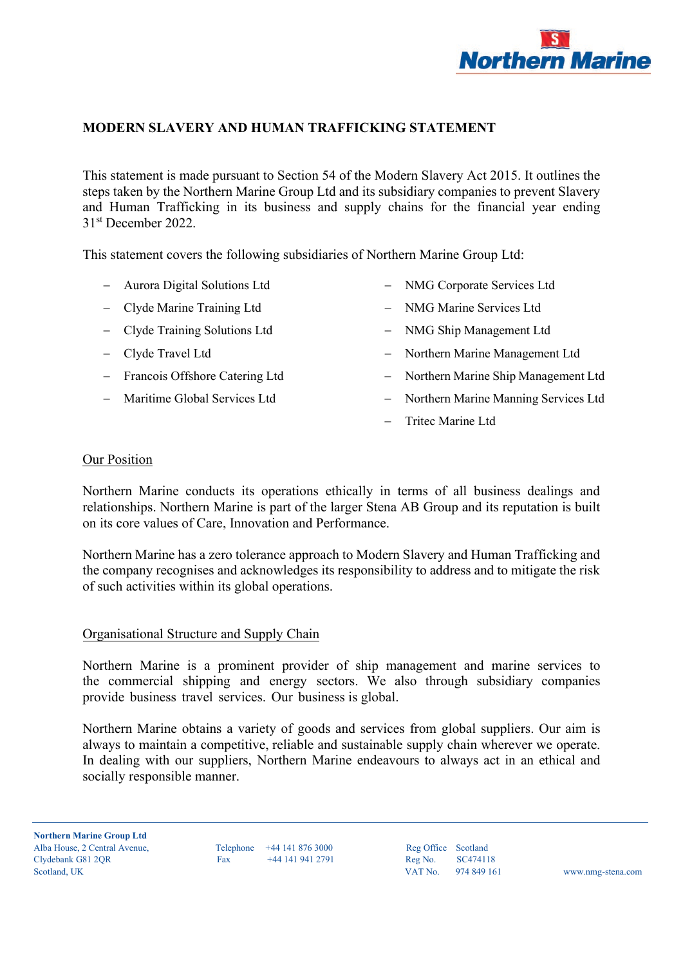

# **MODERN SLAVERY AND HUMAN TRAFFICKING STATEMENT**

This statement is made pursuant to Section 54 of the Modern Slavery Act 2015. It outlines the steps taken by the Northern Marine Group Ltd and its subsidiary companies to prevent Slavery and Human Trafficking in its business and supply chains for the financial year ending 31st December 2022.

This statement covers the following subsidiaries of Northern Marine Group Ltd:

- − Aurora Digital Solutions Ltd
- − Clyde Marine Training Ltd
- − Clyde Training Solutions Ltd
- − Clyde Travel Ltd
- − Francois Offshore Catering Ltd
- − Maritime Global Services Ltd
- − NMG Corporate Services Ltd
- − NMG Marine Services Ltd
- − NMG Ship Management Ltd
- − Northern Marine Management Ltd
- − Northern Marine Ship Management Ltd
- − Northern Marine Manning Services Ltd
- − Tritec Marine Ltd

#### Our Position

Northern Marine conducts its operations ethically in terms of all business dealings and relationships. Northern Marine is part of the larger Stena AB Group and its reputation is built on its core values of Care, Innovation and Performance.

Northern Marine has a zero tolerance approach to Modern Slavery and Human Trafficking and the company recognises and acknowledges its responsibility to address and to mitigate the risk of such activities within its global operations.

#### Organisational Structure and Supply Chain

Northern Marine is a prominent provider of ship management and marine services to the commercial shipping and energy sectors. We also through subsidiary companies provide business travel services. Our business is global.

Northern Marine obtains a variety of goods and services from global suppliers. Our aim is always to maintain a competitive, reliable and sustainable supply chain wherever we operate. In dealing with our suppliers, Northern Marine endeavours to always act in an ethical and socially responsible manner.

**Northern Marine Group Ltd** Alba House, 2 Central Avenue, Telephone +44 141 876 3000 Reg Office Scotland Clydebank G81 2QR Fax +44 141 941 2791 Reg No. SC474118 Scotland, UK VAT No. 974 849 161 www.nmg-stena.com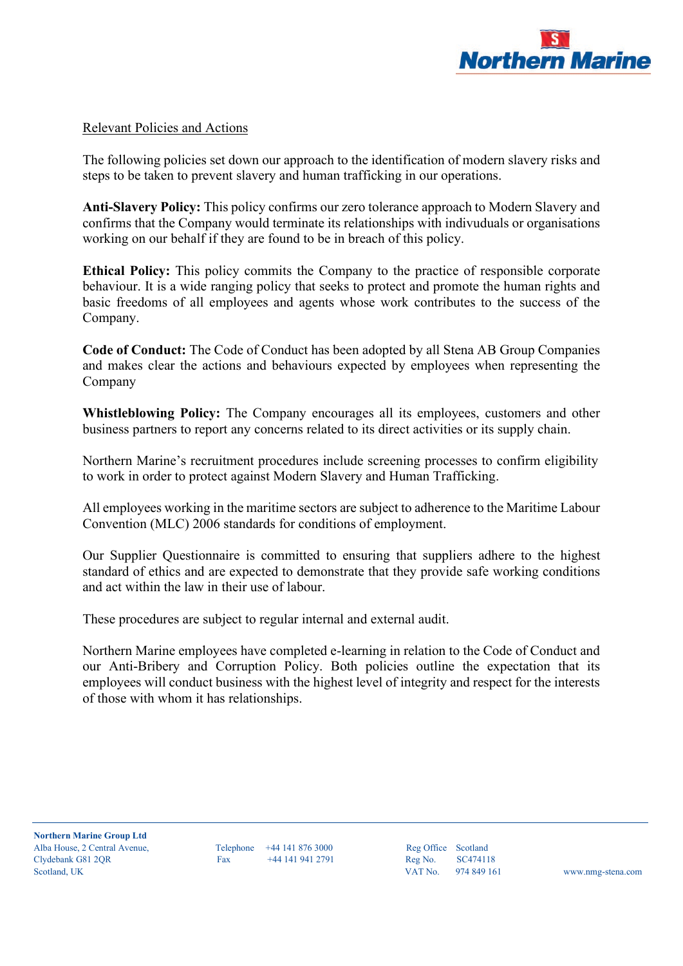

### Relevant Policies and Actions

The following policies set down our approach to the identification of modern slavery risks and steps to be taken to prevent slavery and human trafficking in our operations.

**Anti-Slavery Policy:** This policy confirms our zero tolerance approach to Modern Slavery and confirms that the Company would terminate its relationships with indivuduals or organisations working on our behalf if they are found to be in breach of this policy.

**Ethical Policy:** This policy commits the Company to the practice of responsible corporate behaviour. It is a wide ranging policy that seeks to protect and promote the human rights and basic freedoms of all employees and agents whose work contributes to the success of the Company.

**Code of Conduct:** The Code of Conduct has been adopted by all Stena AB Group Companies and makes clear the actions and behaviours expected by employees when representing the Company

**Whistleblowing Policy:** The Company encourages all its employees, customers and other business partners to report any concerns related to its direct activities or its supply chain.

Northern Marine's recruitment procedures include screening processes to confirm eligibility to work in order to protect against Modern Slavery and Human Trafficking.

All employees working in the maritime sectors are subject to adherence to the Maritime Labour Convention (MLC) 2006 standards for conditions of employment.

Our Supplier Questionnaire is committed to ensuring that suppliers adhere to the highest standard of ethics and are expected to demonstrate that they provide safe working conditions and act within the law in their use of labour.

These procedures are subject to regular internal and external audit.

Northern Marine employees have completed e-learning in relation to the Code of Conduct and our Anti-Bribery and Corruption Policy. Both policies outline the expectation that its employees will conduct business with the highest level of integrity and respect for the interests of those with whom it has relationships.

**Northern Marine Group Ltd** Alba House, 2 Central Avenue, Telephone +44 141 876 3000 Reg Office Scotland Clydebank G81 2QR Fax +44 141 941 2791 Reg No. SC474118 Scotland, UK VAT No. 974 849 161 www.nmg-stena.com